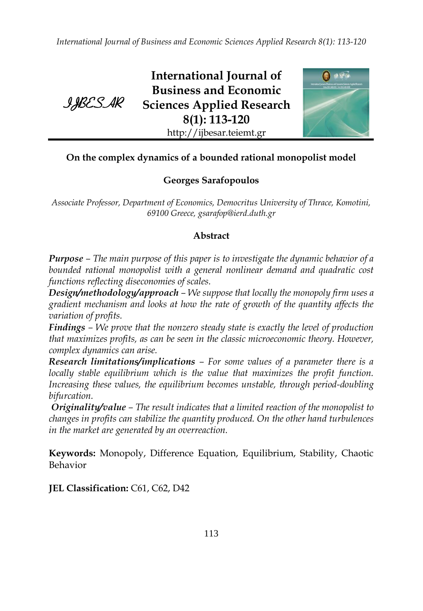*International Journal of Business and Economic Sciences Applied Research 8(1): 113-120*



**International Journal of Business and Economic Sciences Applied Research 8(1): 113-120** http://ijbesar.teiemt.gr



# **On the complex dynamics of a bounded rational monopolist model**

# **Georges Sarafopoulos**

*Associate Professor, Department of Economics, Democritus University of Thrace, Komotini, 69100 Greece, gsarafop@ierd.duth.gr*

# **Abstract**

*Purpose – The main purpose of this paper is to investigate the dynamic behavior of a bounded rational monopolist with a general nonlinear demand and quadratic cost functions reflecting diseconomies of scales.*

*Design/methodology/approach – We suppose that locally the monopoly firm uses a gradient mechanism and looks at how the rate of growth of the quantity affects the variation of profits.*

*Findings – We prove that the nonzero steady state is exactly the level of production that maximizes profits, as can be seen in the classic microeconomic theory. However, complex dynamics can arise.*

*Research limitations/implications – For some values of a parameter there is a locally stable equilibrium which is the value that maximizes the profit function. Increasing these values, the equilibrium becomes unstable, through period-doubling bifurcation.*

*Originality/value – The result indicates that a limited reaction of the monopolist to changes in profits can stabilize the quantity produced. On the other hand turbulences in the market are generated by an overreaction.*

**Keywords:** Monopoly, Difference Equation, Equilibrium, Stability, Chaotic Behavior

**JEL Classification:** C61, C62, D42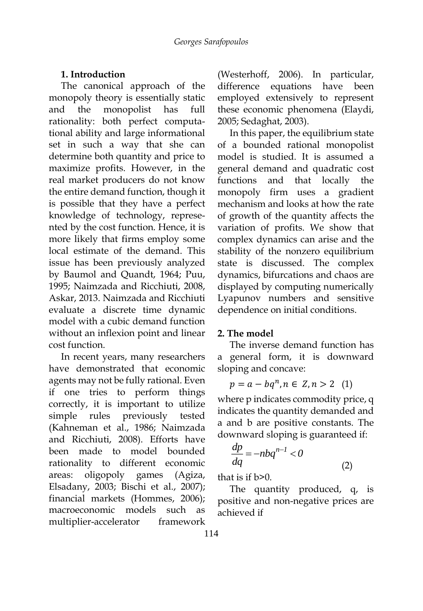### **1. Introduction**

The canonical approach of the monopoly theory is essentially static and the monopolist has full rationality: both perfect computational ability and large informational set in such a way that she can determine both quantity and price to maximize profits. However, in the real market producers do not know the entire demand function, though it is possible that they have a perfect knowledge of technology, represented by the cost function. Hence, it is more likely that firms employ some local estimate of the demand. This issue has been previously analyzed by Baumol and Quandt, 1964; Puu, 1995; Naimzada and Ricchiuti, 2008, Askar, 2013. Naimzada and Ricchiuti evaluate a discrete time dynamic model with a cubic demand function without an inflexion point and linear cost function.

In recent years, many researchers have demonstrated that economic agents may not be fully rational. Even if one tries to perform things correctly, it is important to utilize simple rules previously tested (Kahneman et al., 1986; Naimzada and Ricchiuti, 2008). Efforts have been made to model bounded rationality to different economic areas: oligopoly games (Agiza, Elsadany, 2003; Bischi et al., 2007); financial markets (Hommes, 2006); macroeconomic models such as multiplier-accelerator framework

(Westerhoff, 2006). In particular, difference equations have been employed extensively to represent these economic phenomena (Elaydi, 2005; Sedaghat, 2003).

In this paper, the equilibrium state of a bounded rational monopolist model is studied. It is assumed a general demand and quadratic cost functions and that locally the monopoly firm uses a gradient mechanism and looks at how the rate of growth of the quantity affects the variation of profits. We show that complex dynamics can arise and the stability of the nonzero equilibrium state is discussed. The complex dynamics, bifurcations and chaos are displayed by computing numerically Lyapunov numbers and sensitive dependence on initial conditions.

### **2. The model**

The inverse demand function has a general form, it is downward sloping and concave:

$$
p = a - bq^n, n \in Z, n > 2 \quad (1)
$$

where p indicates commodity price, q indicates the quantity demanded and a and b are positive constants. The downward sloping is guaranteed if:

$$
\frac{dp}{dq} = -nbq^{n-1} < 0\tag{2}
$$

that is if b>0.

The quantity produced, q, is positive and non-negative prices are achieved if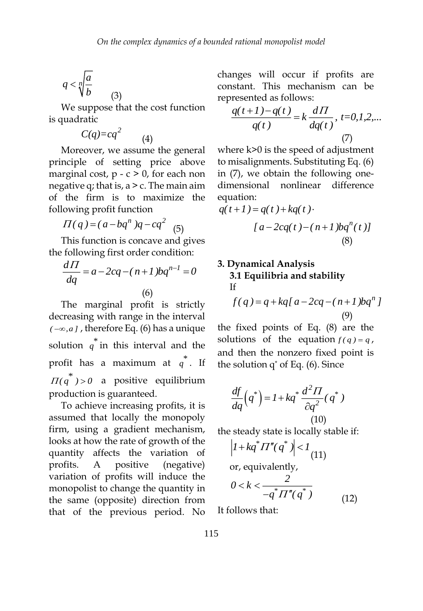$$
q < \sqrt[n]{\frac{a}{b}} \tag{3}
$$

We suppose that the cost function is quadratic

(4)

$$
C(q)=cq^2
$$

Moreover, we assume the general principle of setting price above marginal cost,  $p - c > 0$ , for each non negative q; that is,  $a > c$ . The main aim of the firm is to maximize the following profit function

$$
\Pi(q) = (a - bq^n)q - cq^2 \quad (5)
$$

This function is concave and gives the following first order condition:

$$
\frac{dH}{dq} = a - 2cq - (n+1)pq^{n-1} = 0
$$
\n(6)

The marginal profit is strictly decreasing with range in the interval  $(-\infty, a]$ , therefore Eq. (6) has a unique solution  $q^*$  in this interval and the profit has a maximum at  $q^*$ . If  $\overline{H(q}^*) > 0$  a positive equilibrium production is guaranteed.

To achieve increasing profits, it is assumed that locally the monopoly firm, using a gradient mechanism, looks at how the rate of growth of the quantity affects the variation of profits. A positive (negative) variation of profits will induce the monopolist to change the quantity in the same (opposite) direction from that of the previous period. No changes will occur if profits are constant. This mechanism can be represented as follows:

$$
\frac{q(t+1) - q(t)}{q(t)} = k \frac{d\Pi}{dq(t)}, \ t = 0, 1, 2, \dots
$$
\n(7)

where k>0 is the speed of adjustment to misalignments. Substituting Eq. (6) in (7), we obtain the following onedimensional nonlinear difference equation:

$$
q(t+1) = q(t) + kq(t).
$$
  
\n[ $a - 2cq(t) - (n+1) bq^{n}(t)$ ]  
\n(8)

### **3. Dynamical Analysis 3.1 Equilibria and stability** If

$$
f(q) = q + kq[a - 2cq - (n+1)pqn]
$$
  
(9)

the fixed points of Eq. (8) are the solutions of the equation  $f(q) = q$ , and then the nonzero fixed point is the solution  $q^*$  of Eq. (6). Since

$$
\frac{df}{dq}(q^*) = I + kq^* \frac{d^2 \Pi}{\partial q^2}(q^*)
$$
\n
$$
(10)
$$

the steady state is locally stable if:

$$
\left| I + kq^* \Pi''(q^*) \right| < 1
$$
\nor, equivalently,

\n
$$
0 < k < \frac{2}{-q^* \Pi''(q^*)}
$$
\n(12)

It follows that: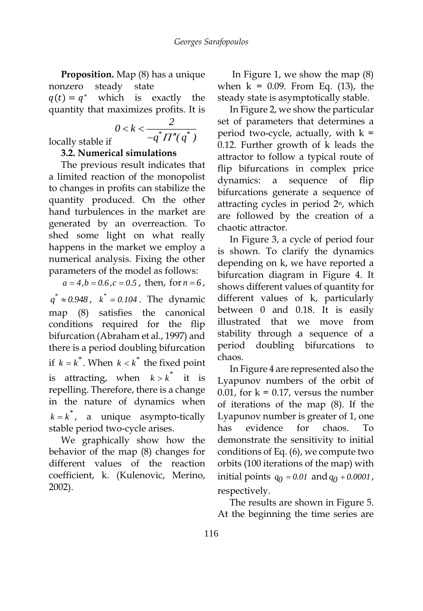**Proposition.** Map (8) has a unique nonzero steady state  $q(t) = q^*$ which is exactly the

quantity that maximizes profits. It is 
$$
\frac{2}{}
$$

$$
0 < k < \frac{2}{-q^* \Pi''(q^*)}
$$

locally stable if

# **3.2. Numerical simulations**

The previous result indicates that a limited reaction of the monopolist to changes in profits can stabilize the quantity produced. On the other hand turbulences in the market are generated by an overreaction. To shed some light on what really happens in the market we employ a numerical analysis. Fixing the other parameters of the model as follows:

 $a = 4, b = 0.6, c = 0.5$ , then, for  $n = 6$ ,  $q^* \approx 0.948$ ,  $k^* \approx 0.104$ . The dynamic map (8) satisfies the canonical conditions required for the flip bifurcation (Abraham et al., 1997) and there is a period doubling bifurcation if  $k = k^*$ . When  $k < k^*$  the fixed point is attracting, when  $k > k^*$  it is repelling. Therefore, there is a change in the nature of dynamics when  $k = k^*$ , a unique asympto-tically stable period two-cycle arises.

We graphically show how the behavior of the map (8) changes for different values of the reaction coefficient, k. (Kulenovic, Merino, 2002).

In Figure 1, we show the map (8) when  $k = 0.09$ . From Eq. (13), the steady state is asymptotically stable.

In Figure 2, we show the particular set of parameters that determines a period two-cycle, actually, with  $k =$ 0.12. Further growth of k leads the attractor to follow a typical route of flip bifurcations in complex price dynamics: a sequence of flip bifurcations generate a sequence of attracting cycles in period  $2<sup>n</sup>$ , which are followed by the creation of a chaotic attractor.

In Figure 3, a cycle of period four is shown. To clarify the dynamics depending on k, we have reported a bifurcation diagram in Figure 4. It shows different values of quantity for different values of k, particularly between 0 and 0.18. It is easily illustrated that we move from stability through a sequence of a period doubling bifurcations to chaos.

In Figure 4 are represented also the Lyapunov numbers of the orbit of 0.01, for  $k = 0.17$ , versus the number of iterations of the map (8). If the Lyapunov number is greater of 1, one has evidence for chaos. To demonstrate the sensitivity to initial conditions of Eq. (6), we compute two orbits (100 iterations of the map) with initial points  $q_0 = 0.01$  and  $q_0 + 0.0001$ , respectively.

The results are shown in Figure 5. At the beginning the time series are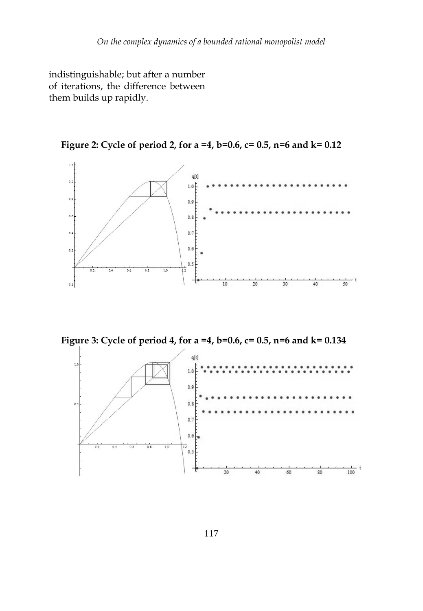indistinguishable; but after a number of iterations, the difference between them builds up rapidly.

**Figure 2: Cycle of period 2, for a =4, b=0.6, c= 0.5, n=6 and k= 0.12**



**Figure 3: Cycle of period 4, for a =4, b=0.6, c= 0.5, n=6 and k= 0.134**

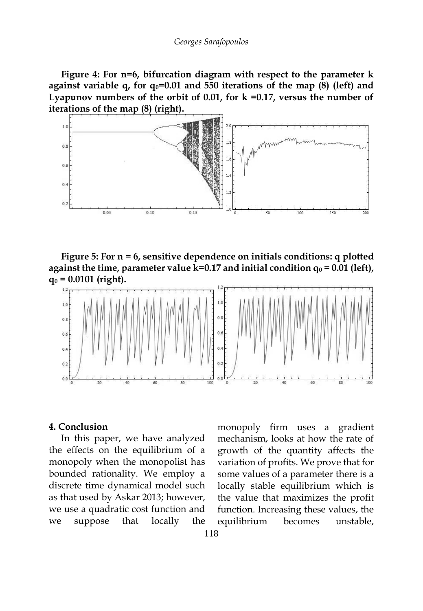**Figure 4: For n=6, bifurcation diagram with respect to the parameter k against variable q, for q0=0.01 and 550 iterations of the map (8) (left) and Lyapunov numbers of the orbit of 0.01, for k =0.17, versus the number of iterations of the map (8) (right).**



**Figure 5: For n = 6, sensitive dependence on initials conditions: q plotted**  against the time, parameter value k=0.17 and initial condition  $q_0$  = 0.01 (left), **q<sup>0</sup> = 0.0101 (right).**



#### **4. Conclusion**

In this paper, we have analyzed the effects on the equilibrium of a monopoly when the monopolist has bounded rationality. We employ a discrete time dynamical model such as that used by Askar 2013; however, we use a quadratic cost function and we suppose that locally the

monopoly firm uses a gradient mechanism, looks at how the rate of growth of the quantity affects the variation of profits. We prove that for some values of a parameter there is a locally stable equilibrium which is the value that maximizes the profit function. Increasing these values, the equilibrium becomes unstable,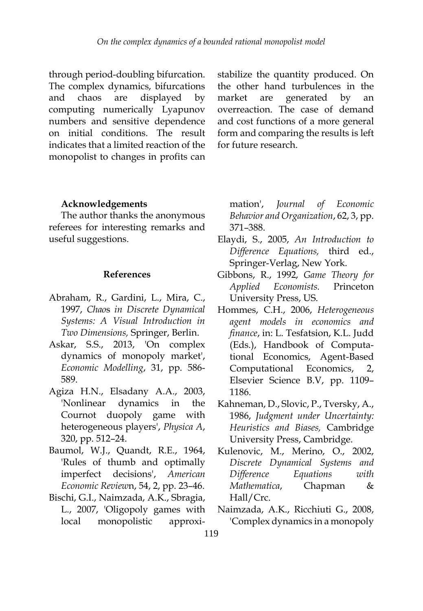through period-doubling bifurcation. The complex dynamics, bifurcations and chaos are displayed by computing numerically Lyapunov numbers and sensitive dependence on initial conditions. The result indicates that a limited reaction of the monopolist to changes in profits can stabilize the quantity produced. On the other hand turbulences in the market are generated by an overreaction. The case of demand and cost functions of a more general form and comparing the results is left for future research.

#### **Acknowledgements**

The author thanks the anonymous referees for interesting remarks and useful suggestions.

#### **References**

- Abraham, R., Gardini, L., Mira, C., 1997, *Chao*s *in Discrete Dynamical Systems: A Visual Introduction in Two Dimensions,* Springer, Berlin.
- Askar, S.S., 2013, 'On complex dynamics of monopoly market', *Economic Modelling*, 31, pp. 586- 589.
- Agiza H.N., Elsadany A.A., 2003, 'Nonlinear dynamics in the Cournot duopoly game with heterogeneous players', *Physica A*, 320, pp. 512–24.
- Baumol, W.J., Quandt, R.E., 1964, 'Rules of thumb and optimally imperfect decisions', *American Economic Review*n, 54, 2, pp. 23–46.
- Bischi, G.I., Naimzada, A.K., Sbragia, L., 2007, 'Oligopoly games with local monopolistic approxi-

mation', *Journal of Economic Behavior and Organization*, 62, 3, pp. 371–388.

- Elaydi, S., 2005, *An Introduction to Difference Equations,* third ed., Springer-Verlag, New York.
- Gibbons, R., 1992, *Game Theory for Applied Economists.* Princeton University Press, US.
- Hommes, C.H., 2006, *Heterogeneous agent models in economics and finance*, in: L. Tesfatsion, K.L. Judd (Eds.), Handbook of Computational Economics, Agent-Based Computational Economics, 2, Elsevier Science B.V, pp. 1109– 1186.
- Kahneman, D., Slovic, P., Tversky, A., 1986, *Judgment under Uncertainty: Heuristics and Biases,* Cambridge University Press, Cambridge.
- Kulenovic, M., Merino, O., 2002, *Discrete Dynamical Systems and Difference Equations with Mathematica*, Chapman & Hall/Crc.
- Naimzada, A.K., Ricchiuti G., 2008, 'Complex dynamics in a monopoly